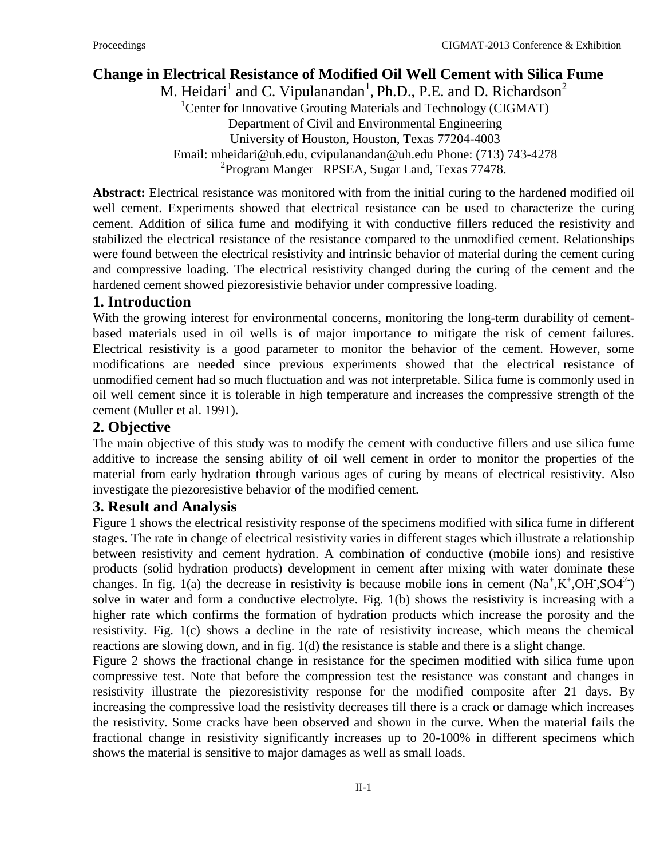# **Change in Electrical Resistance of Modified Oil Well Cement with Silica Fume**

M. Heidari<sup>1</sup> and C. Vipulanandan<sup>1</sup>, Ph.D., P.E. and D. Richardson<sup>2</sup> <sup>1</sup>Center for Innovative Grouting Materials and Technology (CIGMAT) Department of Civil and Environmental Engineering University of Houston, Houston, Texas 77204-4003 Email: mheidari@uh.edu, cvipulanandan@uh.edu Phone: (713) 743-4278 <sup>2</sup> Program Manger - RPSEA, Sugar Land, Texas 77478.

**Abstract:** Electrical resistance was monitored with from the initial curing to the hardened modified oil well cement. Experiments showed that electrical resistance can be used to characterize the curing cement. Addition of silica fume and modifying it with conductive fillers reduced the resistivity and stabilized the electrical resistance of the resistance compared to the unmodified cement. Relationships were found between the electrical resistivity and intrinsic behavior of material during the cement curing and compressive loading. The electrical resistivity changed during the curing of the cement and the hardened cement showed piezoresistivie behavior under compressive loading.

## **1. Introduction**

With the growing interest for environmental concerns, monitoring the long-term durability of cementbased materials used in oil wells is of major importance to mitigate the risk of cement failures. Electrical resistivity is a good parameter to monitor the behavior of the cement. However, some modifications are needed since previous experiments showed that the electrical resistance of unmodified cement had so much fluctuation and was not interpretable. Silica fume is commonly used in oil well cement since it is tolerable in high temperature and increases the compressive strength of the cement (Muller et al. 1991).

### **2. Objective**

The main objective of this study was to modify the cement with conductive fillers and use silica fume additive to increase the sensing ability of oil well cement in order to monitor the properties of the material from early hydration through various ages of curing by means of electrical resistivity. Also investigate the piezoresistive behavior of the modified cement.

## **3. Result and Analysis**

Figure 1 shows the electrical resistivity response of the specimens modified with silica fume in different stages. The rate in change of electrical resistivity varies in different stages which illustrate a relationship between resistivity and cement hydration. A combination of conductive (mobile ions) and resistive products (solid hydration products) development in cement after mixing with water dominate these changes. In fig. 1(a) the decrease in resistivity is because mobile ions in cement  $(Na^+, K^+, OH^-, SO4^2)$ solve in water and form a conductive electrolyte. Fig. 1(b) shows the resistivity is increasing with a higher rate which confirms the formation of hydration products which increase the porosity and the resistivity. Fig. 1(c) shows a decline in the rate of resistivity increase, which means the chemical reactions are slowing down, and in fig. 1(d) the resistance is stable and there is a slight change.

Figure 2 shows the fractional change in resistance for the specimen modified with silica fume upon compressive test. Note that before the compression test the resistance was constant and changes in resistivity illustrate the piezoresistivity response for the modified composite after 21 days. By increasing the compressive load the resistivity decreases till there is a crack or damage which increases the resistivity. Some cracks have been observed and shown in the curve. When the material fails the fractional change in resistivity significantly increases up to 20-100% in different specimens which shows the material is sensitive to major damages as well as small loads.